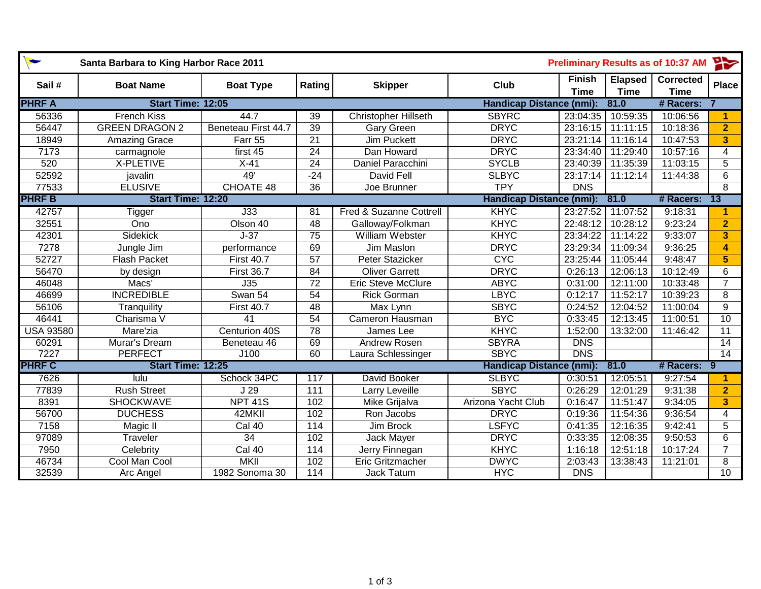| $\blacktriangleright$<br>Santa Barbara to King Harbor Race 2011 |                       |                     |                  |                                    | $\rightarrow$<br><b>Preliminary Results as of 10:37 AM</b> |                              |                               |                                 |                         |
|-----------------------------------------------------------------|-----------------------|---------------------|------------------|------------------------------------|------------------------------------------------------------|------------------------------|-------------------------------|---------------------------------|-------------------------|
| Sail#                                                           | <b>Boat Name</b>      | <b>Boat Type</b>    | Rating           | <b>Skipper</b>                     | Club                                                       | <b>Finish</b><br><b>Time</b> | <b>Elapsed</b><br><b>Time</b> | <b>Corrected</b><br><b>Time</b> | <b>Place</b>            |
| <b>PHRF A</b><br>Start Time: 12:05                              |                       |                     |                  |                                    | <b>Handicap Distance (nmi):</b>                            |                              | 81.0                          | # Racers:                       |                         |
| 56336                                                           | <b>French Kiss</b>    | 44.7                | 39               | <b>Christopher Hillseth</b>        | <b>SBYRC</b>                                               | 23:04:35                     | 10:59:35                      | 10:06:56                        | 1.                      |
| 56447                                                           | <b>GREEN DRAGON 2</b> | Beneteau First 44.7 | 39               | Gary Green                         | <b>DRYC</b>                                                | 23:16:15                     | 11:11:15                      | 10:18:36                        | $\overline{2}$          |
| 18949                                                           | Amazing Grace         | Farr 55             | $\overline{21}$  | <b>Jim Puckett</b>                 | <b>DRYC</b>                                                | 23:21:14                     | 11:16:14                      | 10:47:53                        | 3                       |
| 7173                                                            | carmagnole            | first 45            | 24               | Dan Howard                         | <b>DRYC</b>                                                | 23:34:40                     | 11:29:40                      | 10:57:16                        | 4                       |
| 520                                                             | X-PLETIVE             | $X-41$              | $\overline{24}$  | Daniel Paracchini                  | <b>SYCLB</b>                                               | 23:40:39                     | 11:35:39                      | 11:03:15                        | $\overline{5}$          |
| 52592                                                           | javalin               | 49'                 | $-24$            | <b>David Fell</b>                  | <b>SLBYC</b>                                               | 23:17:14                     | 11:12:14                      | 11:44:38                        | $\overline{6}$          |
| 77533                                                           | <b>ELUSIVE</b>        | <b>CHOATE 48</b>    | $\overline{36}$  | Joe Brunner                        | <b>TPY</b>                                                 | $\overline{DNS}$             |                               |                                 | $\overline{8}$          |
| <b>PHRF B</b><br>Start Time: 12:20                              |                       |                     |                  |                                    | Handicap Distance (nmi):                                   |                              | 81.0                          | # Racers:                       | ่ 13                    |
| 42757                                                           | <b>Tigger</b>         | J33                 | 81               | <b>Fred &amp; Suzanne Cottrell</b> | KHYC                                                       | 23:27:52                     | 11:07:52                      | 9:18:31                         | 1                       |
| 32551                                                           | Ono                   | Olson 40            | 48               | Galloway/Folkman                   | <b>KHYC</b>                                                | 22:48:12                     | 10:28:12                      | 9:23:24                         | $\overline{2}$          |
| 42301                                                           | Sidekick              | $J-37$              | 75               | William Webster                    | <b>KHYC</b>                                                | 23:34:22                     | 11:14:22                      | 9:33:07                         | 3                       |
| 7278                                                            | Jungle Jim            | performance         | 69               | Jim Maslon                         | <b>DRYC</b>                                                | 23:29:34                     | 11:09:34                      | 9:36:25                         | $\overline{\mathbf{4}}$ |
| 52727                                                           | Flash Packet          | <b>First 40.7</b>   | 57               | Peter Stazicker                    | <b>CYC</b>                                                 | 23:25:44                     | 11:05:44                      | 9:48:47                         | $\overline{\mathbf{5}}$ |
| 56470                                                           | by design             | <b>First 36.7</b>   | $\overline{84}$  | <b>Oliver Garrett</b>              | <b>DRYC</b>                                                | 0:26:13                      | 12:06:13                      | 10:12:49                        | 6                       |
| 46048                                                           | Macs'                 | J35                 | 72               | <b>Eric Steve McClure</b>          | <b>ABYC</b>                                                | 0:31:00                      | 12:11:00                      | 10:33:48                        | $\overline{7}$          |
| 46699                                                           | <b>INCREDIBLE</b>     | Swan 54             | 54               | <b>Rick Gorman</b>                 | <b>LBYC</b>                                                | 0:12:17                      | 11:52:17                      | 10:39:23                        | 8                       |
| 56106                                                           | Tranquility           | <b>First 40.7</b>   | 48               | Max Lynn                           | <b>SBYC</b>                                                | 0:24:52                      | 12:04:52                      | 11:00:04                        | 9                       |
| 46441                                                           | Charisma V            | 41                  | 54               | Cameron Hausman                    | <b>BYC</b>                                                 | 0:33:45                      | 12:13:45                      | 11:00:51                        | 10                      |
| <b>USA 93580</b>                                                | Mare'zia              | Centurion 40S       | 78               | James Lee                          | <b>KHYC</b>                                                | 1:52:00                      | 13:32:00                      | 11:46:42                        | 11                      |
| 60291                                                           | Murar's Dream         | Beneteau 46         | 69               | Andrew Rosen                       | <b>SBYRA</b>                                               | <b>DNS</b>                   |                               |                                 | 14                      |
| 7227                                                            | <b>PERFECT</b>        | J100                | 60               | Laura Schlessinger                 | <b>SBYC</b>                                                | $\overline{DNS}$             |                               |                                 | 14                      |
| <b>PHRF C</b>                                                   | Start Time: 12:25     |                     |                  |                                    | <b>Handicap Distance (nmi):</b>                            |                              | 81.0                          | # Racers: 9                     |                         |
| 7626                                                            | lulu                  | Schock 34PC         | $\overline{117}$ | David Booker                       | <b>SLBYC</b>                                               | 0:30:51                      | 12:05:51                      | 9:27:54                         | 1.                      |
| 77839                                                           | <b>Rush Street</b>    | J <sub>29</sub>     | 111              | Larry Leveille                     | <b>SBYC</b>                                                | 0:26:29                      | 12:01:29                      | 9:31:38                         | $\overline{2}$          |
| 8391                                                            | <b>SHOCKWAVE</b>      | <b>NPT 41S</b>      | 102              | Mike Grijalva                      | Arizona Yacht Club                                         | 0:16:47                      | 11:51:47                      | 9:34:05                         | $\overline{\mathbf{3}}$ |
| 56700                                                           | <b>DUCHESS</b>        | 42MKII              | 102              | Ron Jacobs                         | <b>DRYC</b>                                                | 0:19:36                      | 11:54:36                      | 9:36:54                         | $\overline{4}$          |
| 7158                                                            | Magic II              | Cal 40              | 114              | Jim Brock                          | <b>LSFYC</b>                                               | 0:41:35                      | 12:16:35                      | 9:42:41                         | 5                       |
| 97089                                                           | Traveler              | $\overline{34}$     | 102              | Jack Mayer                         | <b>DRYC</b>                                                | 0:33:35                      | 12:08:35                      | 9:50:53                         | 6                       |
| 7950                                                            | Celebrity             | Cal 40              | 114              | Jerry Finnegan                     | <b>KHYC</b>                                                | 1:16:18                      | 12:51:18                      | 10:17:24                        | $\overline{7}$          |
| 46734                                                           | Cool Man Cool         | <b>MKII</b>         | 102              | <b>Eric Gritzmacher</b>            | <b>DWYC</b>                                                | 2:03:43                      | 13:38:43                      | 11:21:01                        | 8                       |
| 32539                                                           | Arc Angel             | 1982 Sonoma 30      | 114              | <b>Jack Tatum</b>                  | <b>HYC</b>                                                 | <b>DNS</b>                   |                               |                                 | $\overline{10}$         |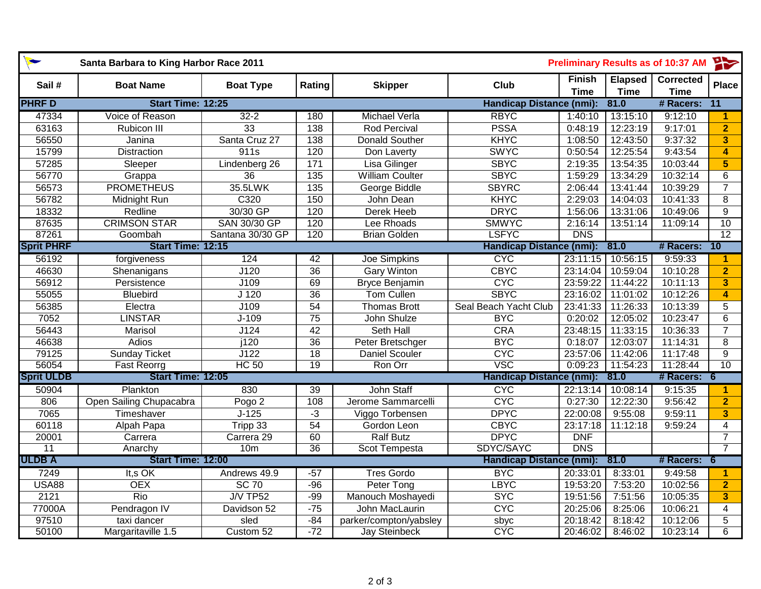| Santa Barbara to King Harbor Race 2011 |                          |                     |                 |                        | <b>Preliminary Results as of 10:37 AM</b> |                              |                               |                                 | 一                       |
|----------------------------------------|--------------------------|---------------------|-----------------|------------------------|-------------------------------------------|------------------------------|-------------------------------|---------------------------------|-------------------------|
| Sail#                                  | <b>Boat Name</b>         | <b>Boat Type</b>    | Rating          | <b>Skipper</b>         | Club                                      | <b>Finish</b><br><b>Time</b> | <b>Elapsed</b><br><b>Time</b> | <b>Corrected</b><br><b>Time</b> | <b>Place</b>            |
| <b>PHRFD</b>                           | Start Time: 12:25        |                     |                 |                        | <b>Handicap Distance (nmi):</b>           |                              | 81.0                          | # Racers:                       | $\overline{11}$         |
| 47334                                  | Voice of Reason          | $32 - 2$            | 180             | <b>Michael Verla</b>   | <b>RBYC</b>                               | 1:40:10                      | 13:15:10                      | 9:12:10                         | 1                       |
| 63163                                  | Rubicon III              | 33                  | $\frac{138}{ }$ | <b>Rod Percival</b>    | <b>PSSA</b>                               | 0:48:19                      | 12:23:19                      | 9:17:01                         | $\overline{2}$          |
| 56550                                  | Janina                   | Santa Cruz 27       | $\frac{138}{ }$ | <b>Donald Souther</b>  | KHYC                                      | 1:08:50                      | 12:43:50                      | 9:37:32                         | 3                       |
| 15799                                  | <b>Distraction</b>       | 911s                | 120             | Don Laverty            | <b>SWYC</b>                               | 0:50:54                      | 12:25:54                      | 9:43:54                         | 4                       |
| 57285                                  | Sleeper                  | Lindenberg 26       | $\frac{1}{171}$ | Lisa Gilinger          | <b>SBYC</b>                               | 2:19:35                      | 13:54:35                      | 10:03:44                        | $\overline{\mathbf{5}}$ |
| 56770                                  | Grappa                   | 36                  | 135             | <b>William Coulter</b> | <b>SBYC</b>                               | 1:59:29                      | 13:34:29                      | 10:32:14                        | 6                       |
| 56573                                  | <b>PROMETHEUS</b>        | 35.5LWK             | 135             | George Biddle          | <b>SBYRC</b>                              | 2:06:44                      | 13:41:44                      | 10:39:29                        | $\overline{7}$          |
| 56782                                  | Midnight Run             | C320                | 150             | John Dean              | <b>KHYC</b>                               | 2:29:03                      | 14:04:03                      | 10:41:33                        | 8                       |
| 18332                                  | Redline                  | 30/30 GP            | 120             | Derek Heeb             | <b>DRYC</b>                               | 1:56:06                      | 13:31:06                      | 10:49:06                        | $\boldsymbol{9}$        |
| 87635                                  | <b>CRIMSON STAR</b>      | <b>SAN 30/30 GP</b> | 120             | Lee Rhoads             | <b>SMWYC</b>                              | 2:16:14                      | 13:51:14                      | 11:09:14                        | 10                      |
| 87261                                  | Goombah                  | Santana 30/30 GP    | 120             | <b>Brian Golden</b>    | <b>LSFYC</b>                              | <b>DNS</b>                   |                               |                                 | 12                      |
| <b>Sprit PHRF</b>                      | <b>Start Time: 12:15</b> |                     |                 |                        | <b>Handicap Distance (nmi):</b>           |                              | 81.0                          | # Racers:                       | 10                      |
| 56192                                  | forgiveness              | 124                 | 42              | <b>Joe Simpkins</b>    | <b>CYC</b>                                | 23:11:15                     | 10:56:15                      | 9:59:33                         | 1                       |
| 46630                                  | Shenanigans              | J120                | $\overline{36}$ | <b>Gary Winton</b>     | <b>CBYC</b>                               | 23:14:04                     | 10:59:04                      | 10:10:28                        | $\overline{2}$          |
| 56912                                  | Persistence              | J109                | 69              | <b>Bryce Benjamin</b>  | <b>CYC</b>                                | 23:59:22                     | 11:44:22                      | 10:11:13                        | $\overline{\mathbf{3}}$ |
| 55055                                  | <b>Bluebird</b>          | J <sub>120</sub>    | $\overline{36}$ | <b>Tom Cullen</b>      | <b>SBYC</b>                               | 23:16:02                     | 11:01:02                      | 10:12:26                        | 4                       |
| 56385                                  | Electra                  | J109                | 54              | <b>Thomas Brott</b>    | Seal Beach Yacht Club                     | 23:41:33                     | 11:26:33                      | 10:13:39                        | 5                       |
| 7052                                   | <b>LINSTAR</b>           | $J-109$             | $\overline{75}$ | John Shulze            | <b>BYC</b>                                | 0:20:02                      | 12:05:02                      | 10:23:47                        | $\overline{6}$          |
| 56443                                  | Marisol                  | J124                | $\overline{42}$ | <b>Seth Hall</b>       | CRA                                       | 23:48:15                     | 11:33:15                      | 10:36:33                        | $\overline{7}$          |
| 46638                                  | <b>Adios</b>             | $\overline{1120}$   | $\overline{36}$ | Peter Bretschger       | <b>BYC</b>                                | 0:18:07                      | 12:03:07                      | 11:14:31                        | 8                       |
| 79125                                  | <b>Sunday Ticket</b>     | J122                | $\overline{18}$ | <b>Daniel Scouler</b>  | <b>CYC</b>                                | 23:57:06                     | 11:42:06                      | 11:17:48                        | $\overline{9}$          |
| 56054                                  | <b>Fast Reorrg</b>       | <b>HC 50</b>        | $\overline{19}$ | Ron Orr                | VSC                                       | 0:09:23                      | 11:54:23                      | 11:28:44                        | $\overline{10}$         |
| <b>Sprit ULDB</b>                      | Start Time: 12:05        |                     |                 |                        | <b>Handicap Distance (nmi):</b>           |                              | 81.0                          | # Racers:                       | $-6$                    |
| 50904                                  | Plankton                 | 830                 | 39              | John Staff             | <b>CYC</b>                                | 22:13:14                     | 10:08:14                      | 9:15:35                         | 1                       |
| 806                                    | Open Sailing Chupacabra  | Pogo <sub>2</sub>   | 108             | Jerome Sammarcelli     | <b>CYC</b>                                | 0:27:30                      | 12:22:30                      | 9:56:42                         | $\overline{2}$          |
| 7065                                   | Timeshaver               | $J-125$             | $-3$            | Viggo Torbensen        | <b>DPYC</b>                               | 22:00:08                     | 9:55:08                       | 9:59:11                         | 3                       |
| 60118                                  | Alpah Papa               | Tripp 33            | 54              | Gordon Leon            | <b>CBYC</b>                               | 23:17:18                     | 11:12:18                      | 9:59:24                         | $\overline{4}$          |
| 20001                                  | Carrera                  | Carrera 29          | 60              | <b>Ralf Butz</b>       | <b>DPYC</b>                               | <b>DNF</b>                   |                               |                                 | $\overline{7}$          |
| 11                                     | Anarchy                  | 10 <sub>m</sub>     | $\overline{36}$ | Scot Tempesta          | SDYC/SAYC                                 | <b>DNS</b>                   |                               |                                 | $\overline{7}$          |
| <b>ULDB A</b>                          | Start Time: 12:00        |                     |                 |                        | <b>Handicap Distance (nmi):</b>           |                              | 81.0                          | # Racers:                       | -6                      |
| 7249                                   | It,s OK                  | Andrews 49.9        | $-57$           | <b>Tres Gordo</b>      | <b>BYC</b>                                | 20:33:01                     | 8:33:01                       | 9:49:58                         | 1                       |
| <b>USA88</b>                           | <b>OEX</b>               | <b>SC 70</b>        | $-96$           | Peter Tong             | <b>LBYC</b>                               | 19:53:20                     | 7:53:20                       | 10:02:56                        | $\overline{2}$          |
| 2121                                   | Rio                      | $J/V$ TP52          | $-99$           | Manouch Moshayedi      | <b>SYC</b>                                | 19:51:56                     | 7:51:56                       | 10:05:35                        | $\overline{\mathbf{3}}$ |
| 77000A                                 | Pendragon IV             | Davidson 52         | $-75$           | John MacLaurin         | <b>CYC</b>                                | 20:25:06                     | 8:25:06                       | 10:06:21                        | $\overline{4}$          |
| 97510                                  | taxi dancer              | sled                | $-84$           | parker/compton/yabsley | sbyc                                      | 20:18:42                     | 8:18:42                       | 10:12:06                        | 5                       |
| 50100                                  | Margaritaville 1.5       | Custom 52           | $-72$           | <b>Jay Steinbeck</b>   | <b>CYC</b>                                | 20:46:02                     | 8:46:02                       | 10:23:14                        | $\overline{6}$          |